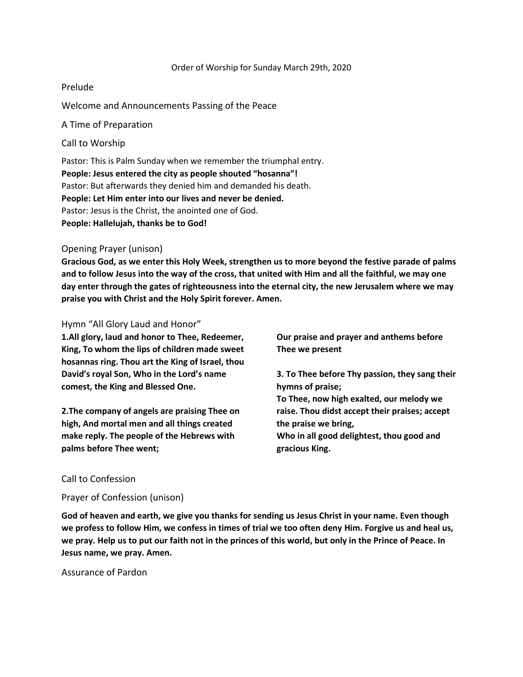#### Order of Worship for Sunday March 29th, 2020

## Prelude

Welcome and Announcements Passing of the Peace

A Time of Preparation

Call to Worship

Pastor: This is Palm Sunday when we remember the triumphal entry. **People: Jesus entered the city as people shouted "hosanna"!** Pastor: But afterwards they denied him and demanded his death. **People: Let Him enter into our lives and never be denied.** Pastor: Jesus is the Christ, the anointed one of God. **People: Hallelujah, thanks be to God!**

# Opening Prayer (unison)

**Gracious God, as we enter this Holy Week, strengthen us to more beyond the festive parade of palms and to follow Jesus into the way of the cross, that united with Him and all the faithful, we may one day enter through the gates of righteousness into the eternal city, the new Jerusalem where we may praise you with Christ and the Holy Spirit forever. Amen.**

# Hymn "All Glory Laud and Honor"

**1.All glory, laud and honor to Thee, Redeemer, King, To whom the lips of children made sweet hosannas ring. Thou art the King of Israel, thou David's royal Son, Who in the Lord's name comest, the King and Blessed One.**

**2.The company of angels are praising Thee on high, And mortal men and all things created make reply. The people of the Hebrews with palms before Thee went;**

**Our praise and prayer and anthems before Thee we present**

**3. To Thee before Thy passion, they sang their hymns of praise;**

**To Thee, now high exalted, our melody we raise. Thou didst accept their praises; accept the praise we bring,**

**Who in all good delightest, thou good and gracious King.**

## Call to Confession

Prayer of Confession (unison)

**God of heaven and earth, we give you thanks for sending us Jesus Christ in your name. Even though we profess to follow Him, we confess in times of trial we too often deny Him. Forgive us and heal us, we pray. Help us to put our faith not in the princes of this world, but only in the Prince of Peace. In Jesus name, we pray. Amen.**

Assurance of Pardon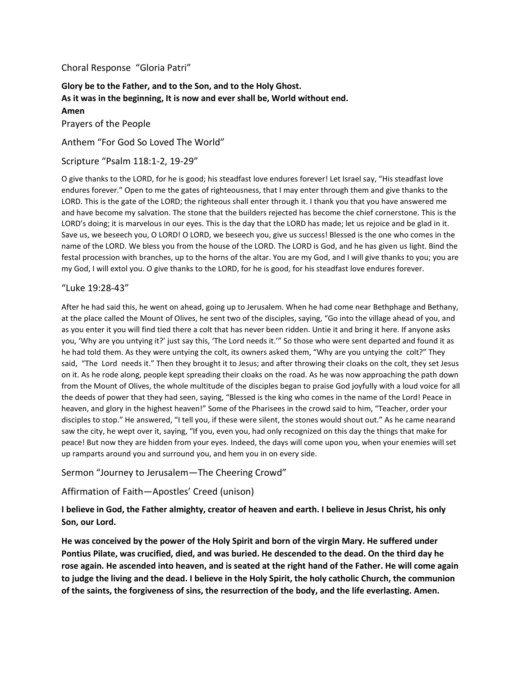## Choral Response "Gloria Patri"

**Glory be to the Father, and to the Son, and to the Holy Ghost. As it was in the beginning, It is now and ever shall be, World without end. Amen** Prayers of the People

Anthem "For God So Loved The World"

Scripture "Psalm 118:1-2, 19-29"

O give thanks to the LORD, for he is good; his steadfast love endures forever! Let Israel say, "His steadfast love endures forever." Open to me the gates of righteousness, that I may enter through them and give thanks to the LORD. This is the gate of the LORD; the righteous shall enter through it. I thank you that you have answered me and have become my salvation. The stone that the builders rejected has become the chief cornerstone. This is the LORD's doing; it is marvelous in our eyes. This is the day that the LORD has made; let us rejoice and be glad in it. Save us, we beseech you, O LORD! O LORD, we beseech you, give us success! Blessed is the one who comes in the name of the LORD. We bless you from the house of the LORD. The LORD is God, and he has given us light. Bind the festal procession with branches, up to the horns of the altar. You are my God, and I will give thanks to you; you are my God, I will extol you. O give thanks to the LORD, for he is good, for his steadfast love endures forever.

#### "Luke 19:28-43"

After he had said this, he went on ahead, going up to Jerusalem. When he had come near Bethphage and Bethany, at the place called the Mount of Olives, he sent two of the disciples, saying, "Go into the village ahead of you, and as you enter it you will find tied there a colt that has never been ridden. Untie it and bring it here. If anyone asks you, 'Why are you untying it?' just say this, 'The Lord needs it.'" So those who were sent departed and found it as he had told them. As they were untying the colt, its owners asked them, "Why are you untying the colt?" They said, "The Lord needs it." Then they brought it to Jesus; and after throwing their cloaks on the colt, they set Jesus on it. As he rode along, people kept spreading their cloaks on the road. As he was now approaching the path down from the Mount of Olives, the whole multitude of the disciples began to praise God joyfully with a loud voice for all the deeds of power that they had seen, saying, "Blessed is the king who comes in the name of the Lord! Peace in heaven, and glory in the highest heaven!" Some of the Pharisees in the crowd said to him, "Teacher, order your disciples to stop." He answered, "I tell you, if these were silent, the stones would shout out." As he came nearand saw the city, he wept over it, saying, "If you, even you, had only recognized on this day the things that make for peace! But now they are hidden from your eyes. Indeed, the days will come upon you, when your enemies will set up ramparts around you and surround you, and hem you in on every side.

## Sermon "Journey to Jerusalem—The Cheering Crowd"

## Affirmation of Faith—Apostles' Creed (unison)

# **I believe in God, the Father almighty, creator of heaven and earth. I believe in Jesus Christ, his only Son, our Lord.**

**He was conceived by the power of the Holy Spirit and born of the virgin Mary. He suffered under Pontius Pilate, was crucified, died, and was buried. He descended to the dead. On the third day he rose again. He ascended into heaven, and is seated at the right hand of the Father. He will come again to judge the living and the dead. I believe in the Holy Spirit, the holy catholic Church, the communion of the saints, the forgiveness of sins, the resurrection of the body, and the life everlasting. Amen.**